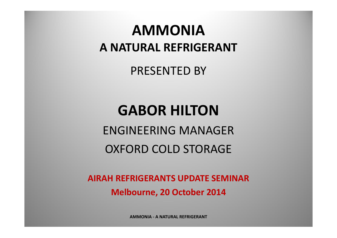### **AMMONIAA NATURAL REFRIGERANT**

PRESENTED BY

### **GABOR HILTON**

ENGINEERING MANAGER OXFORD COLD STORAGE

**AIRAH REFRIGERANTS UPDATE SEMINAR Melbourne, 20 October 2014**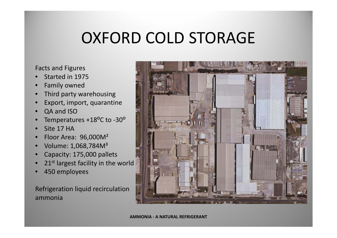# OXFORD COLD STORAGE

#### Facts and Figures

- •• Started in 1975
- •Family owned
- •• Third party warehousing
- •Export, import, quarantine
- •QA and ISO
- •Temperatures +18<sup>o</sup>C to -30<sup>o</sup>
- •• Site 17 HA
- •Floor Area: 96,000M<sup>²</sup>
- •Volume: 1,068,784M<sup>³</sup>
- •Capacity: 175,000 pallets
- •21<sup>st</sup> largest facility in the world
- •450 employees

Refrigeration liquid recirculation ammonia

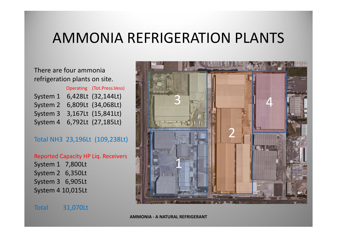#### AMMONIA REFRIGERATION PLANTS

#### There are four ammonia refrigeration plants on site.

|          | Operating (Tot.Press.Vess)  |
|----------|-----------------------------|
|          | System 1 6,428Lt (32,144Lt) |
| System 2 | 6,809Lt (34,068Lt)          |
| System 3 | 3,167Lt (15,841Lt)          |
| System 4 | 6,792Lt (27,185Lt)          |

#### Total NH3 23,196Lt (109,238Lt)

|                          | <b>Reported Capacity HP Lig. Receivers</b> |
|--------------------------|--------------------------------------------|
| System 1 7,800Lt         |                                            |
| System 2 6,350Lt         |                                            |
| System 3 6,905Lt         |                                            |
| <b>System 4 10,015Lt</b> |                                            |

31,070Lt

**Total** 

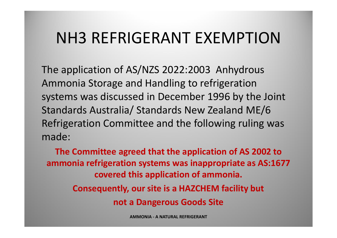## NH3 REFRIGERANT EXEMPTION

The application of AS/NZS 2022:2003 Anhydrous Ammonia Storage and Handling to refrigeration systems was discussed in December 1996 by the Joint Standards Australia/ Standards New Zealand ME/6 Refrigeration Committee and the following ruling was made:

**The Committee agreed that the application of AS 2002 to ammonia refrigeration systems was inappropriate as AS:1677 covered this application of ammonia. Consequently, our site is <sup>a</sup> HAZCHEM facility but not a Dangerous Goods Site**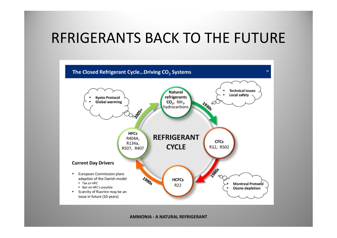#### RFRIGERANTS BACK TO THE FUTURE

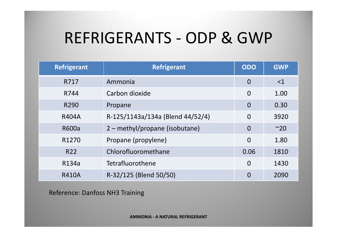# REFRIGERANTS ‐ ODP & GWP

| Refrigerant       | <b>Refrigerant</b>               | <b>ODO</b>     | <b>GWP</b> |
|-------------------|----------------------------------|----------------|------------|
| R717              | Ammonia                          | $\overline{0}$ | $<$ 1      |
| R744              | Carbon dioxide                   | $\overline{0}$ | 1.00       |
| R290              | Propane                          | $\Omega$       | 0.30       |
| <b>R404A</b>      | R-125/1143a/134a (Blend 44/52/4) | $\overline{0}$ | 3920       |
| <b>R600a</b>      | 2 - methyl/propane (isobutane)   | $\overline{0}$ | $~\sim$ 20 |
| R <sub>1270</sub> | Propane (propylene)              |                | 1.80       |
| R <sub>22</sub>   | Chlorofluoromethane              | 0.06           | 1810       |
| R134a             | Tetrafluorothene                 | $\overline{0}$ | 1430       |
| <b>R410A</b>      | R-32/125 (Blend 50/50)           | $\overline{0}$ | 2090       |

Reference: Danfoss NH3 Training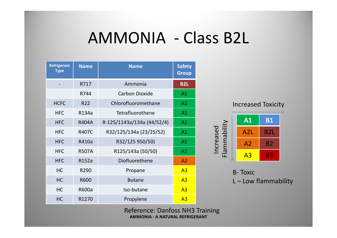## AMMONIA ‐ Class B2L

| <b>Refrigerant</b><br><b>Type</b> | <b>Name</b>  | <b>Name</b>                | <b>Safety</b><br><b>Group</b> |
|-----------------------------------|--------------|----------------------------|-------------------------------|
|                                   | R717         | Ammonia                    | <b>B2L</b>                    |
|                                   | R744         | <b>Carbon Dioxide</b>      | A1                            |
| <b>HCFC</b>                       | <b>R22</b>   | Chlorofluoromethane        | A1                            |
| <b>HFC</b>                        | R134a        | Tetrafluorothene           | A1                            |
| <b>HFC</b>                        | <b>R404A</b> | R-125/1143a/134a (44/52/4) | A1                            |
| <b>HFC</b>                        | <b>R407C</b> | R32/125/134a (23/25/52)    | A1                            |
| <b>HFC</b>                        | R410a        | R32/125 950/50)            | A1                            |
| <b>HFC</b>                        | <b>R507A</b> | R125/143a (50/50)          | A1                            |
| <b>HFC</b>                        | R152a        | Diofluorethene             | A2                            |
| <b>HC</b>                         | R290         | Propane                    | A <sub>3</sub>                |
| <b>HC</b>                         | R600         | <b>Butane</b>              | A <sub>3</sub>                |
| HC                                | R600a        | Iso-butane                 | A <sub>3</sub>                |
| <b>HC</b>                         | R1270        | Propylene                  | A <sub>3</sub>                |



B‐ Toxic L – Low flammability

Reference: Danfoss NH3 Training **AMMONIA ‐ A NATURAL REFRIGERANT** 7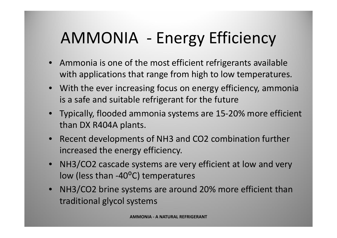# AMMONIA ‐ Energy Efficiency

- Ammonia is one of the most efficient refrigerants available with applications that range from high to low temperatures.
- With the ever increasing focus on energy efficiency, ammonia is a safe and suitable refrigerant for the future
- Typically, flooded ammonia systems are 15‐20% more efficient than DX R404A plants.
- Recent developments of NH3 and CO2 combination further increased the energy efficiency.
- NH3/CO2 cascade systems are very efficient at low and very low (less than -40<sup>o</sup>C) temperatures
- NH3/CO2 brine systems are around 20% more efficient than traditional glycol systems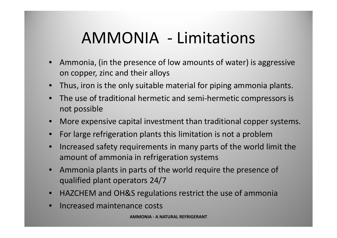# AMMONIA ‐ Limitations

- Ammonia, (in the presence of low amounts of water) is aggressive on copper, zinc and their alloys
- Thus, iron is the only suitable material for piping ammonia plants.
- • The use of traditional hermetic and semi‐hermetic compressors is not possible
- More expensive capital investment than traditional copper systems.
- For large refrigeration plants this limitation is not <sup>a</sup> problem
- $\bullet$ • Increased safety requirements in many parts of the world limit the amount of ammonia in refrigeration systems
- Ammonia plants in parts of the world require the presence of qualified plant operators 24/7
- HAZCHEM and OH&S regulations restrict the use of ammonia
- $\bullet$ • Increased maintenance costs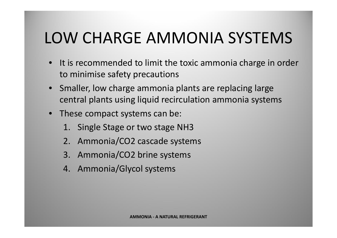# LOW CHARGE AMMONIA SYSTEMS

- $\bullet$ • It is recommended to limit the toxic ammonia charge in order to minimise safety precautions
- Smaller, low charge ammonia plants are replacing large central plants using liquid recirculation ammonia systems
- These compact systems can be:
	- 1. Single Stage or two stage NH3
	- 2. Ammonia/CO2 cascade systems
	- 3. Ammonia/CO2 brine systems
	- 4. Ammonia/Glycol systems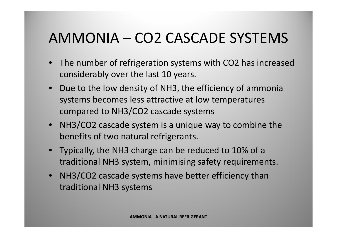## AMMONIA – CO2 CASCADE SYSTEMS

- $\bullet$  The number of refrigeration systems with CO2 has increased considerably over the last 10 years.
- Due to the low density of NH3, the efficiency of ammonia systems becomes less attractive at low temperatures compared to NH3/CO2 cascade systems
- NH3/CO2 cascade system is <sup>a</sup> unique way to combine the benefits of two natural refrigerants.
- Typically, the NH3 charge can be reduced to 10% of <sup>a</sup> traditional NH3 system, minimising safety requirements.
- NH3/CO2 cascade systems have better efficiency than traditional NH3 systems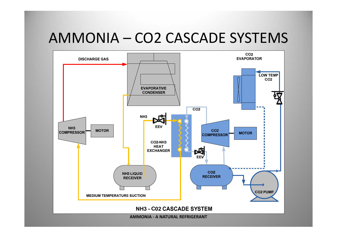#### AMMONIA – CO2 CASCADE SYSTEMS

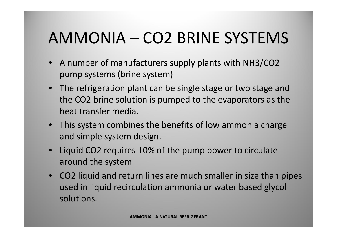# AMMONIA – CO2 BRINE SYSTEMS

- A number of manufacturers supply plants with NH3/CO2 pump systems (brine system)
- The refrigeration plant can be single stage or two stage and the CO2 brine solution is pumped to the evaporators as the heat transfer media.
- This system combines the benefits of low ammonia charge and simple system design.
- Liquid CO2 requires 10% of the pump power to circulate around the system
- CO2 liquid and return lines are much smaller in size than pipes used in liquid recirculation ammonia or water based glycol solutions.